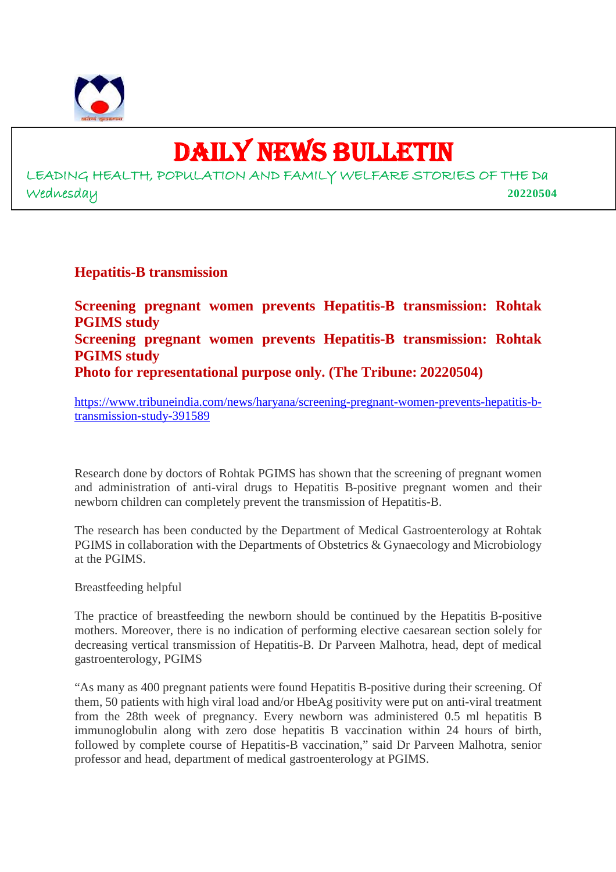

9

# DAILY NEWS BULLETIN

LEADING HEALTH, POPULATION AND FAMILY WELFARE STORIES OF THE Da Wednesday **20220504**

#### **Hepatitis-B transmission**

**Screening pregnant women prevents Hepatitis-B transmission: Rohtak PGIMS study Screening pregnant women prevents Hepatitis-B transmission: Rohtak PGIMS study Photo for representational purpose only. (The Tribune: 20220504)**

https://www.tribuneindia.com/news/haryana/screening-pregnant-women-prevents-hepatitis-btransmission-study-391589

Research done by doctors of Rohtak PGIMS has shown that the screening of pregnant women and administration of anti-viral drugs to Hepatitis B-positive pregnant women and their newborn children can completely prevent the transmission of Hepatitis-B.

The research has been conducted by the Department of Medical Gastroenterology at Rohtak PGIMS in collaboration with the Departments of Obstetrics & Gynaecology and Microbiology at the PGIMS.

Breastfeeding helpful

The practice of breastfeeding the newborn should be continued by the Hepatitis B-positive mothers. Moreover, there is no indication of performing elective caesarean section solely for decreasing vertical transmission of Hepatitis-B. Dr Parveen Malhotra, head, dept of medical gastroenterology, PGIMS

"As many as 400 pregnant patients were found Hepatitis B-positive during their screening. Of them, 50 patients with high viral load and/or HbeAg positivity were put on anti-viral treatment from the 28th week of pregnancy. Every newborn was administered 0.5 ml hepatitis B immunoglobulin along with zero dose hepatitis B vaccination within 24 hours of birth, followed by complete course of Hepatitis-B vaccination," said Dr Parveen Malhotra, senior professor and head, department of medical gastroenterology at PGIMS.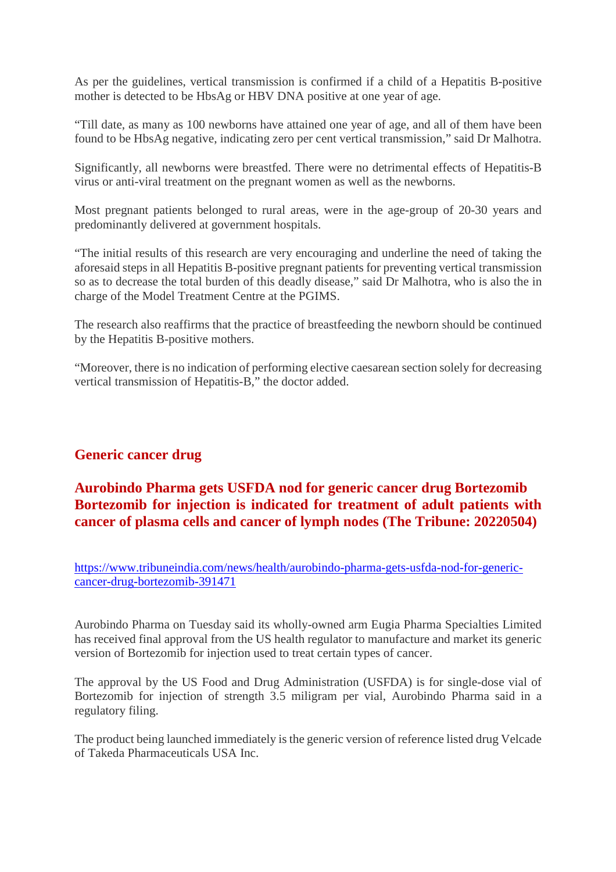As per the guidelines, vertical transmission is confirmed if a child of a Hepatitis B-positive mother is detected to be HbsAg or HBV DNA positive at one year of age.

"Till date, as many as 100 newborns have attained one year of age, and all of them have been found to be HbsAg negative, indicating zero per cent vertical transmission," said Dr Malhotra.

Significantly, all newborns were breastfed. There were no detrimental effects of Hepatitis-B virus or anti-viral treatment on the pregnant women as well as the newborns.

Most pregnant patients belonged to rural areas, were in the age-group of 20-30 years and predominantly delivered at government hospitals.

"The initial results of this research are very encouraging and underline the need of taking the aforesaid steps in all Hepatitis B-positive pregnant patients for preventing vertical transmission so as to decrease the total burden of this deadly disease," said Dr Malhotra, who is also the in charge of the Model Treatment Centre at the PGIMS.

The research also reaffirms that the practice of breastfeeding the newborn should be continued by the Hepatitis B-positive mothers.

"Moreover, there is no indication of performing elective caesarean section solely for decreasing vertical transmission of Hepatitis-B," the doctor added.

# **Generic cancer drug**

# **Aurobindo Pharma gets USFDA nod for generic cancer drug Bortezomib Bortezomib for injection is indicated for treatment of adult patients with cancer of plasma cells and cancer of lymph nodes (The Tribune: 20220504)**

https://www.tribuneindia.com/news/health/aurobindo-pharma-gets-usfda-nod-for-genericcancer-drug-bortezomib-391471

Aurobindo Pharma on Tuesday said its wholly-owned arm Eugia Pharma Specialties Limited has received final approval from the US health regulator to manufacture and market its generic version of Bortezomib for injection used to treat certain types of cancer.

The approval by the US Food and Drug Administration (USFDA) is for single-dose vial of Bortezomib for injection of strength 3.5 miligram per vial, Aurobindo Pharma said in a regulatory filing.

The product being launched immediately is the generic version of reference listed drug Velcade of Takeda Pharmaceuticals USA Inc.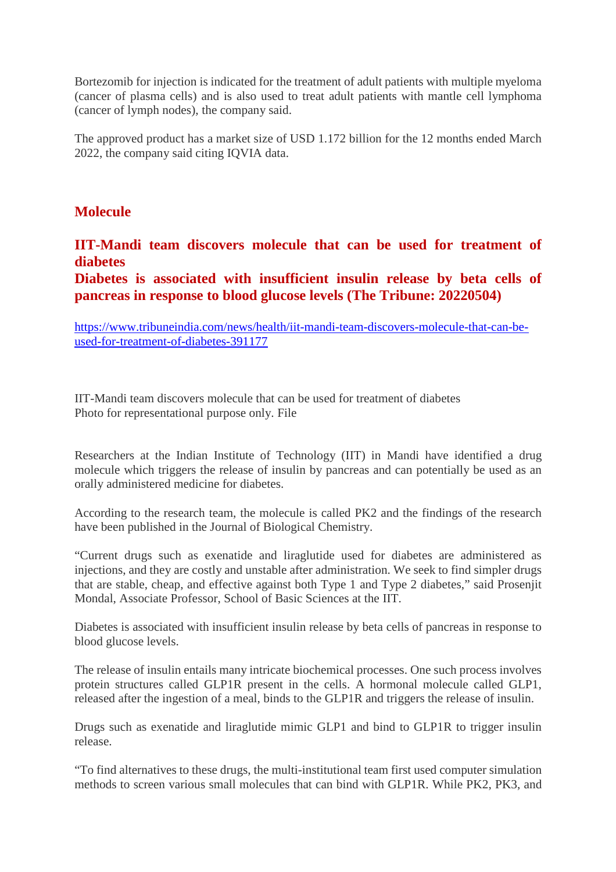Bortezomib for injection is indicated for the treatment of adult patients with multiple myeloma (cancer of plasma cells) and is also used to treat adult patients with mantle cell lymphoma (cancer of lymph nodes), the company said.

The approved product has a market size of USD 1.172 billion for the 12 months ended March 2022, the company said citing IQVIA data.

#### **Molecule**

**IIT-Mandi team discovers molecule that can be used for treatment of diabetes**

**Diabetes is associated with insufficient insulin release by beta cells of pancreas in response to blood glucose levels (The Tribune: 20220504)**

https://www.tribuneindia.com/news/health/iit-mandi-team-discovers-molecule-that-can-beused-for-treatment-of-diabetes-391177

IIT-Mandi team discovers molecule that can be used for treatment of diabetes Photo for representational purpose only. File

Researchers at the Indian Institute of Technology (IIT) in Mandi have identified a drug molecule which triggers the release of insulin by pancreas and can potentially be used as an orally administered medicine for diabetes.

According to the research team, the molecule is called PK2 and the findings of the research have been published in the Journal of Biological Chemistry.

"Current drugs such as exenatide and liraglutide used for diabetes are administered as injections, and they are costly and unstable after administration. We seek to find simpler drugs that are stable, cheap, and effective against both Type 1 and Type 2 diabetes," said Prosenjit Mondal, Associate Professor, School of Basic Sciences at the IIT.

Diabetes is associated with insufficient insulin release by beta cells of pancreas in response to blood glucose levels.

The release of insulin entails many intricate biochemical processes. One such process involves protein structures called GLP1R present in the cells. A hormonal molecule called GLP1, released after the ingestion of a meal, binds to the GLP1R and triggers the release of insulin.

Drugs such as exenatide and liraglutide mimic GLP1 and bind to GLP1R to trigger insulin release.

"To find alternatives to these drugs, the multi-institutional team first used computer simulation methods to screen various small molecules that can bind with GLP1R. While PK2, PK3, and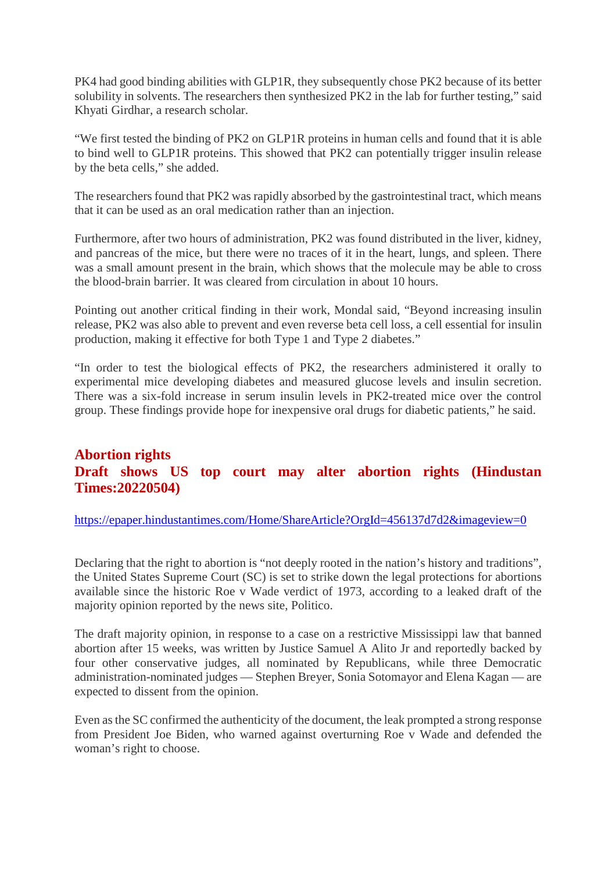PK4 had good binding abilities with GLP1R, they subsequently chose PK2 because of its better solubility in solvents. The researchers then synthesized PK2 in the lab for further testing," said Khyati Girdhar, a research scholar.

"We first tested the binding of PK2 on GLP1R proteins in human cells and found that it is able to bind well to GLP1R proteins. This showed that PK2 can potentially trigger insulin release by the beta cells," she added.

The researchers found that PK2 was rapidly absorbed by the gastrointestinal tract, which means that it can be used as an oral medication rather than an injection.

Furthermore, after two hours of administration, PK2 was found distributed in the liver, kidney, and pancreas of the mice, but there were no traces of it in the heart, lungs, and spleen. There was a small amount present in the brain, which shows that the molecule may be able to cross the blood-brain barrier. It was cleared from circulation in about 10 hours.

Pointing out another critical finding in their work, Mondal said, "Beyond increasing insulin release, PK2 was also able to prevent and even reverse beta cell loss, a cell essential for insulin production, making it effective for both Type 1 and Type 2 diabetes."

"In order to test the biological effects of PK2, the researchers administered it orally to experimental mice developing diabetes and measured glucose levels and insulin secretion. There was a six-fold increase in serum insulin levels in PK2-treated mice over the control group. These findings provide hope for inexpensive oral drugs for diabetic patients," he said.

# **Abortion rights Draft shows US top court may alter abortion rights (Hindustan Times:20220504)**

https://epaper.hindustantimes.com/Home/ShareArticle?OrgId=456137d7d2&imageview=0

Declaring that the right to abortion is "not deeply rooted in the nation's history and traditions", the United States Supreme Court (SC) is set to strike down the legal protections for abortions available since the historic Roe v Wade verdict of 1973, according to a leaked draft of the majority opinion reported by the news site, Politico.

The draft majority opinion, in response to a case on a restrictive Mississippi law that banned abortion after 15 weeks, was written by Justice Samuel A Alito Jr and reportedly backed by four other conservative judges, all nominated by Republicans, while three Democratic administration-nominated judges — Stephen Breyer, Sonia Sotomayor and Elena Kagan — are expected to dissent from the opinion.

Even as the SC confirmed the authenticity of the document, the leak prompted a strong response from President Joe Biden, who warned against overturning Roe v Wade and defended the woman's right to choose.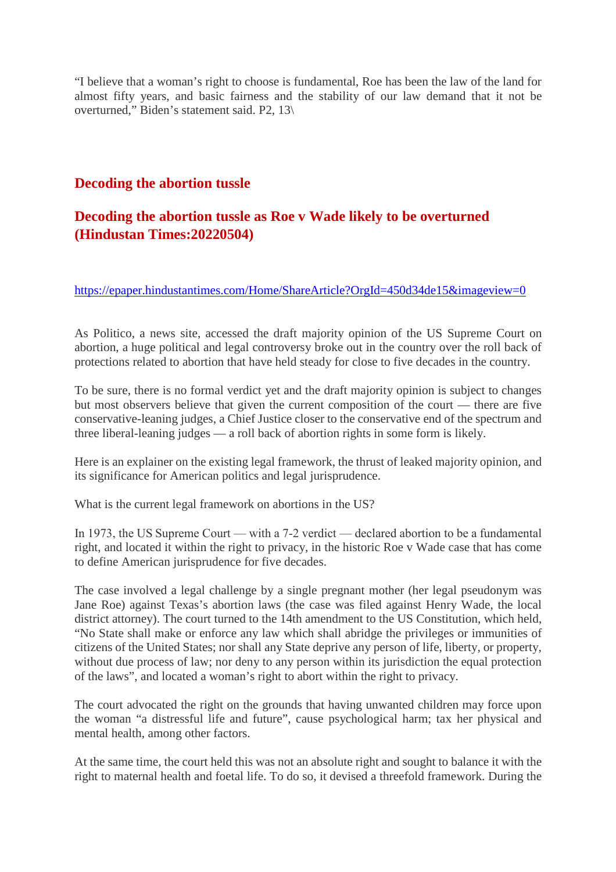"I believe that a woman's right to choose is fundamental, Roe has been the law of the land for almost fifty years, and basic fairness and the stability of our law demand that it not be overturned," Biden's statement said. P2, 13\

#### **Decoding the abortion tussle**

# **Decoding the abortion tussle as Roe v Wade likely to be overturned (Hindustan Times:20220504)**

https://epaper.hindustantimes.com/Home/ShareArticle?OrgId=450d34de15&imageview=0

As Politico, a news site, accessed the draft majority opinion of the US Supreme Court on abortion, a huge political and legal controversy broke out in the country over the roll back of protections related to abortion that have held steady for close to five decades in the country.

To be sure, there is no formal verdict yet and the draft majority opinion is subject to changes but most observers believe that given the current composition of the court — there are five conservative-leaning judges, a Chief Justice closer to the conservative end of the spectrum and three liberal-leaning judges — a roll back of abortion rights in some form is likely.

Here is an explainer on the existing legal framework, the thrust of leaked majority opinion, and its significance for American politics and legal jurisprudence.

What is the current legal framework on abortions in the US?

In 1973, the US Supreme Court — with a 7-2 verdict — declared abortion to be a fundamental right, and located it within the right to privacy, in the historic Roe v Wade case that has come to define American jurisprudence for five decades.

The case involved a legal challenge by a single pregnant mother (her legal pseudonym was Jane Roe) against Texas's abortion laws (the case was filed against Henry Wade, the local district attorney). The court turned to the 14th amendment to the US Constitution, which held, "No State shall make or enforce any law which shall abridge the privileges or immunities of citizens of the United States; nor shall any State deprive any person of life, liberty, or property, without due process of law; nor deny to any person within its jurisdiction the equal protection of the laws", and located a woman's right to abort within the right to privacy.

The court advocated the right on the grounds that having unwanted children may force upon the woman "a distressful life and future", cause psychological harm; tax her physical and mental health, among other factors.

At the same time, the court held this was not an absolute right and sought to balance it with the right to maternal health and foetal life. To do so, it devised a threefold framework. During the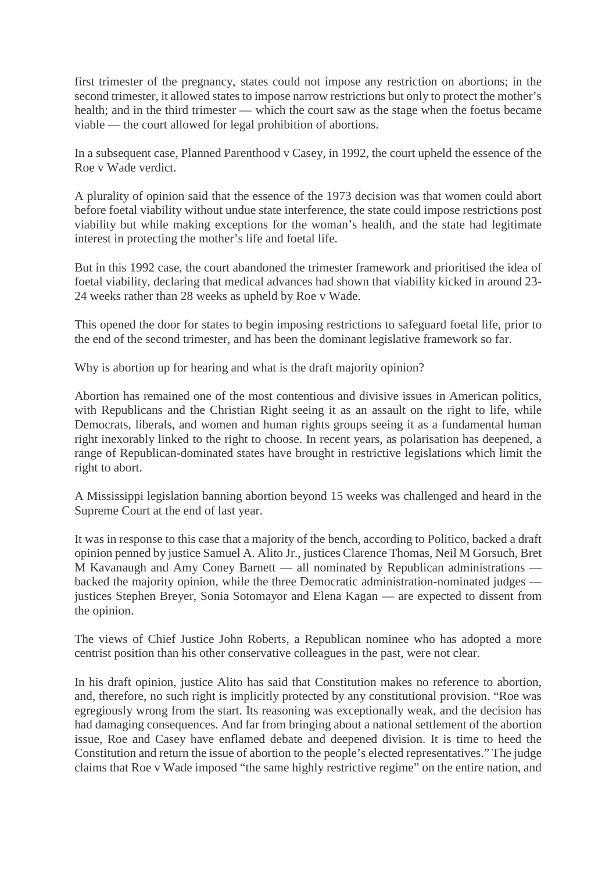first trimester of the pregnancy, states could not impose any restriction on abortions; in the second trimester, it allowed states to impose narrow restrictions but only to protect the mother's health; and in the third trimester — which the court saw as the stage when the foetus became viable — the court allowed for legal prohibition of abortions.

In a subsequent case, Planned Parenthood v Casey, in 1992, the court upheld the essence of the Roe v Wade verdict.

A plurality of opinion said that the essence of the 1973 decision was that women could abort before foetal viability without undue state interference, the state could impose restrictions post viability but while making exceptions for the woman's health, and the state had legitimate interest in protecting the mother's life and foetal life.

But in this 1992 case, the court abandoned the trimester framework and prioritised the idea of foetal viability, declaring that medical advances had shown that viability kicked in around 23- 24 weeks rather than 28 weeks as upheld by Roe v Wade.

This opened the door for states to begin imposing restrictions to safeguard foetal life, prior to the end of the second trimester, and has been the dominant legislative framework so far.

Why is abortion up for hearing and what is the draft majority opinion?

Abortion has remained one of the most contentious and divisive issues in American politics, with Republicans and the Christian Right seeing it as an assault on the right to life, while Democrats, liberals, and women and human rights groups seeing it as a fundamental human right inexorably linked to the right to choose. In recent years, as polarisation has deepened, a range of Republican-dominated states have brought in restrictive legislations which limit the right to abort.

A Mississippi legislation banning abortion beyond 15 weeks was challenged and heard in the Supreme Court at the end of last year.

It was in response to this case that a majority of the bench, according to Politico, backed a draft opinion penned by justice Samuel A. Alito Jr., justices Clarence Thomas, Neil M Gorsuch, Bret M Kavanaugh and Amy Coney Barnett — all nominated by Republican administrations backed the majority opinion, while the three Democratic administration-nominated judges justices Stephen Breyer, Sonia Sotomayor and Elena Kagan — are expected to dissent from the opinion.

The views of Chief Justice John Roberts, a Republican nominee who has adopted a more centrist position than his other conservative colleagues in the past, were not clear.

In his draft opinion, justice Alito has said that Constitution makes no reference to abortion, and, therefore, no such right is implicitly protected by any constitutional provision. "Roe was egregiously wrong from the start. Its reasoning was exceptionally weak, and the decision has had damaging consequences. And far from bringing about a national settlement of the abortion issue, Roe and Casey have enflamed debate and deepened division. It is time to heed the Constitution and return the issue of abortion to the people's elected representatives." The judge claims that Roe v Wade imposed "the same highly restrictive regime" on the entire nation, and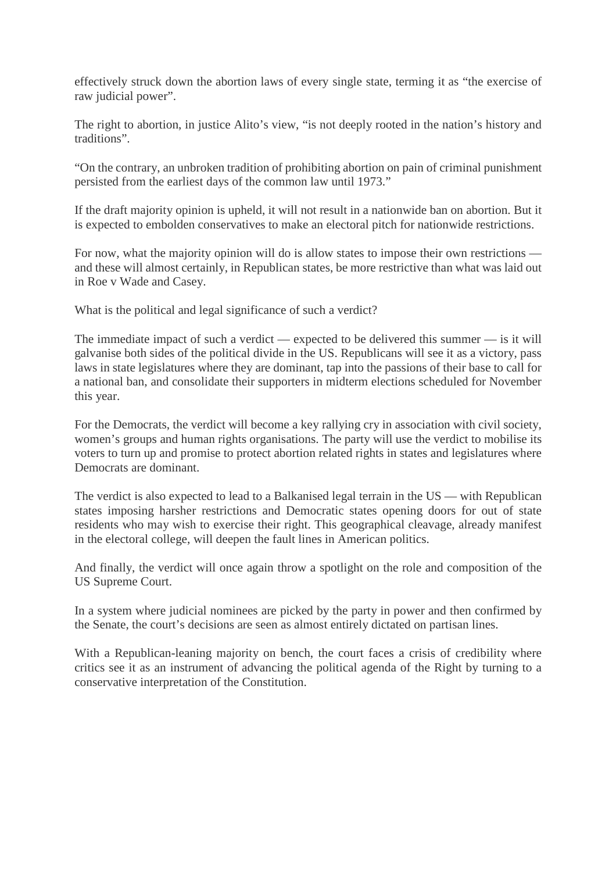effectively struck down the abortion laws of every single state, terming it as "the exercise of raw judicial power".

The right to abortion, in justice Alito's view, "is not deeply rooted in the nation's history and traditions".

"On the contrary, an unbroken tradition of prohibiting abortion on pain of criminal punishment persisted from the earliest days of the common law until 1973."

If the draft majority opinion is upheld, it will not result in a nationwide ban on abortion. But it is expected to embolden conservatives to make an electoral pitch for nationwide restrictions.

For now, what the majority opinion will do is allow states to impose their own restrictions and these will almost certainly, in Republican states, be more restrictive than what was laid out in Roe v Wade and Casey.

What is the political and legal significance of such a verdict?

The immediate impact of such a verdict — expected to be delivered this summer — is it will galvanise both sides of the political divide in the US. Republicans will see it as a victory, pass laws in state legislatures where they are dominant, tap into the passions of their base to call for a national ban, and consolidate their supporters in midterm elections scheduled for November this year.

For the Democrats, the verdict will become a key rallying cry in association with civil society, women's groups and human rights organisations. The party will use the verdict to mobilise its voters to turn up and promise to protect abortion related rights in states and legislatures where Democrats are dominant.

The verdict is also expected to lead to a Balkanised legal terrain in the US — with Republican states imposing harsher restrictions and Democratic states opening doors for out of state residents who may wish to exercise their right. This geographical cleavage, already manifest in the electoral college, will deepen the fault lines in American politics.

And finally, the verdict will once again throw a spotlight on the role and composition of the US Supreme Court.

In a system where judicial nominees are picked by the party in power and then confirmed by the Senate, the court's decisions are seen as almost entirely dictated on partisan lines.

With a Republican-leaning majority on bench, the court faces a crisis of credibility where critics see it as an instrument of advancing the political agenda of the Right by turning to a conservative interpretation of the Constitution.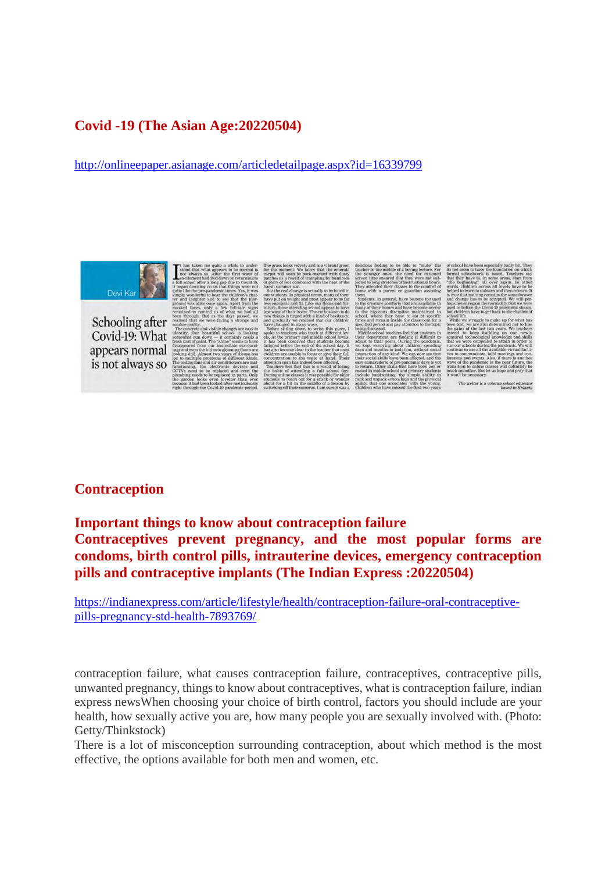# **Covid -19 (The Asian Age:20220504)**

http://onlineepaper.asianage.com/articledetailpage.aspx?id=16339799



Schooling after Covid-19: What appears normal is not always so

#### **Contraception**

#### **Important things to know about contraception failure**

**Contraceptives prevent pregnancy, and the most popular forms are condoms, birth control pills, intrauterine devices, emergency contraception pills and contraceptive implants (The Indian Express :20220504)**

https://indianexpress.com/article/lifestyle/health/contraception-failure-oral-contraceptivepills-pregnancy-std-health-7893769/

contraception failure, what causes contraception failure, contraceptives, contraceptive pills, unwanted pregnancy, things to know about contraceptives, what is contraception failure, indian express newsWhen choosing your choice of birth control, factors you should include are your health, how sexually active you are, how many people you are sexually involved with. (Photo: Getty/Thinkstock)

There is a lot of misconception surrounding contraception, about which method is the most effective, the options available for both men and women, etc.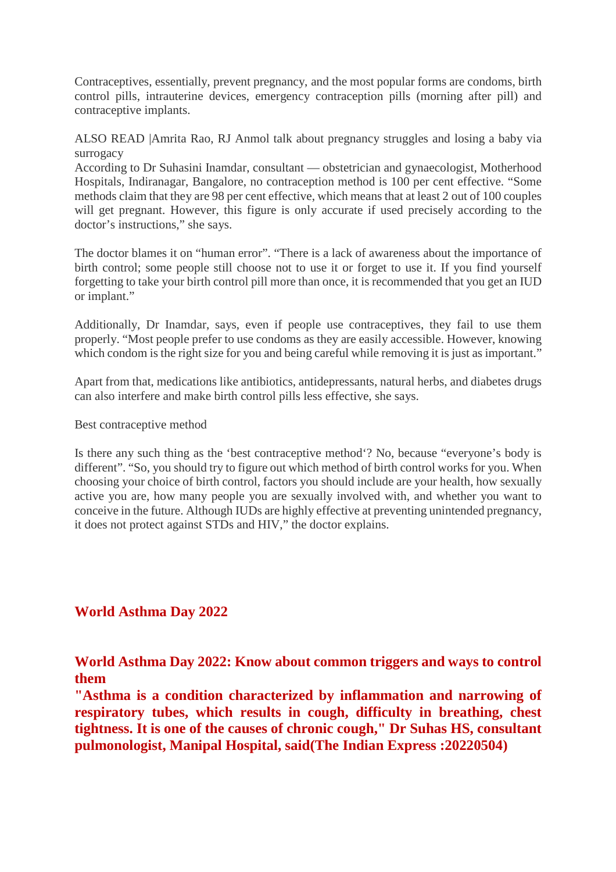Contraceptives, essentially, prevent pregnancy, and the most popular forms are condoms, birth control pills, intrauterine devices, emergency contraception pills (morning after pill) and contraceptive implants.

ALSO READ |Amrita Rao, RJ Anmol talk about pregnancy struggles and losing a baby via surrogacy

According to Dr Suhasini Inamdar, consultant — obstetrician and gynaecologist, Motherhood Hospitals, Indiranagar, Bangalore, no contraception method is 100 per cent effective. "Some methods claim that they are 98 per cent effective, which means that at least 2 out of 100 couples will get pregnant. However, this figure is only accurate if used precisely according to the doctor's instructions," she says.

The doctor blames it on "human error". "There is a lack of awareness about the importance of birth control; some people still choose not to use it or forget to use it. If you find yourself forgetting to take your birth control pill more than once, it is recommended that you get an IUD or implant."

Additionally, Dr Inamdar, says, even if people use contraceptives, they fail to use them properly. "Most people prefer to use condoms as they are easily accessible. However, knowing which condom is the right size for you and being careful while removing it is just as important."

Apart from that, medications like antibiotics, antidepressants, natural herbs, and diabetes drugs can also interfere and make birth control pills less effective, she says.

Best contraceptive method

Is there any such thing as the 'best contraceptive method'? No, because "everyone's body is different". "So, you should try to figure out which method of birth control works for you. When choosing your choice of birth control, factors you should include are your health, how sexually active you are, how many people you are sexually involved with, and whether you want to conceive in the future. Although IUDs are highly effective at preventing unintended pregnancy, it does not protect against STDs and HIV," the doctor explains.

#### **World Asthma Day 2022**

**World Asthma Day 2022: Know about common triggers and ways to control them**

**"Asthma is a condition characterized by inflammation and narrowing of respiratory tubes, which results in cough, difficulty in breathing, chest tightness. It is one of the causes of chronic cough," Dr Suhas HS, consultant pulmonologist, Manipal Hospital, said(The Indian Express :20220504)**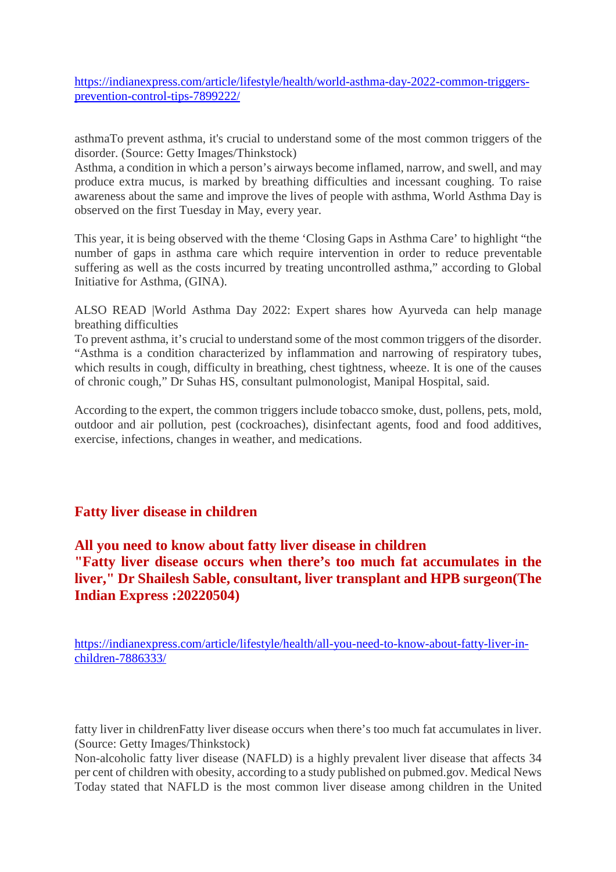https://indianexpress.com/article/lifestyle/health/world-asthma-day-2022-common-triggersprevention-control-tips-7899222/

asthmaTo prevent asthma, it's crucial to understand some of the most common triggers of the disorder. (Source: Getty Images/Thinkstock)

Asthma, a condition in which a person's airways become inflamed, narrow, and swell, and may produce extra mucus, is marked by breathing difficulties and incessant coughing. To raise awareness about the same and improve the lives of people with asthma, World Asthma Day is observed on the first Tuesday in May, every year.

This year, it is being observed with the theme 'Closing Gaps in Asthma Care' to highlight "the number of gaps in asthma care which require intervention in order to reduce preventable suffering as well as the costs incurred by treating uncontrolled asthma," according to Global Initiative for Asthma, (GINA).

ALSO READ |World Asthma Day 2022: Expert shares how Ayurveda can help manage breathing difficulties

To prevent asthma, it's crucial to understand some of the most common triggers of the disorder. "Asthma is a condition characterized by inflammation and narrowing of respiratory tubes, which results in cough, difficulty in breathing, chest tightness, wheeze. It is one of the causes of chronic cough," Dr Suhas HS, consultant pulmonologist, Manipal Hospital, said.

According to the expert, the common triggers include tobacco smoke, dust, pollens, pets, mold, outdoor and air pollution, pest (cockroaches), disinfectant agents, food and food additives, exercise, infections, changes in weather, and medications.

#### **Fatty liver disease in children**

# **All you need to know about fatty liver disease in children "Fatty liver disease occurs when there's too much fat accumulates in the liver," Dr Shailesh Sable, consultant, liver transplant and HPB surgeon(The Indian Express :20220504)**

https://indianexpress.com/article/lifestyle/health/all-you-need-to-know-about-fatty-liver-inchildren-7886333/

fatty liver in childrenFatty liver disease occurs when there's too much fat accumulates in liver. (Source: Getty Images/Thinkstock)

Non-alcoholic fatty liver disease (NAFLD) is a highly prevalent liver disease that affects 34 per cent of children with obesity, according to a study published on pubmed.gov. Medical News Today stated that NAFLD is the most common liver disease among children in the United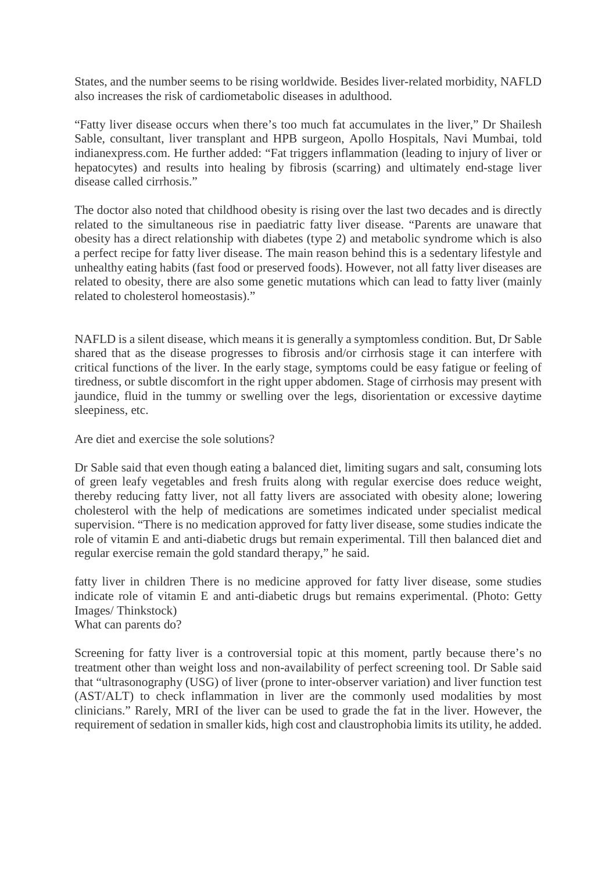States, and the number seems to be rising worldwide. Besides liver-related morbidity, NAFLD also increases the risk of cardiometabolic diseases in adulthood.

"Fatty liver disease occurs when there's too much fat accumulates in the liver," Dr Shailesh Sable, consultant, liver transplant and HPB surgeon, Apollo Hospitals, Navi Mumbai, told indianexpress.com. He further added: "Fat triggers inflammation (leading to injury of liver or hepatocytes) and results into healing by fibrosis (scarring) and ultimately end-stage liver disease called cirrhosis."

The doctor also noted that childhood obesity is rising over the last two decades and is directly related to the simultaneous rise in paediatric fatty liver disease. "Parents are unaware that obesity has a direct relationship with diabetes (type 2) and metabolic syndrome which is also a perfect recipe for fatty liver disease. The main reason behind this is a sedentary lifestyle and unhealthy eating habits (fast food or preserved foods). However, not all fatty liver diseases are related to obesity, there are also some genetic mutations which can lead to fatty liver (mainly related to cholesterol homeostasis)."

NAFLD is a silent disease, which means it is generally a symptomless condition. But, Dr Sable shared that as the disease progresses to fibrosis and/or cirrhosis stage it can interfere with critical functions of the liver. In the early stage, symptoms could be easy fatigue or feeling of tiredness, or subtle discomfort in the right upper abdomen. Stage of cirrhosis may present with jaundice, fluid in the tummy or swelling over the legs, disorientation or excessive daytime sleepiness, etc.

Are diet and exercise the sole solutions?

Dr Sable said that even though eating a balanced diet, limiting sugars and salt, consuming lots of green leafy vegetables and fresh fruits along with regular exercise does reduce weight, thereby reducing fatty liver, not all fatty livers are associated with obesity alone; lowering cholesterol with the help of medications are sometimes indicated under specialist medical supervision. "There is no medication approved for fatty liver disease, some studies indicate the role of vitamin E and anti-diabetic drugs but remain experimental. Till then balanced diet and regular exercise remain the gold standard therapy," he said.

fatty liver in children There is no medicine approved for fatty liver disease, some studies indicate role of vitamin E and anti-diabetic drugs but remains experimental. (Photo: Getty Images/ Thinkstock)

What can parents do?

Screening for fatty liver is a controversial topic at this moment, partly because there's no treatment other than weight loss and non-availability of perfect screening tool. Dr Sable said that "ultrasonography (USG) of liver (prone to inter-observer variation) and liver function test (AST/ALT) to check inflammation in liver are the commonly used modalities by most clinicians." Rarely, MRI of the liver can be used to grade the fat in the liver. However, the requirement of sedation in smaller kids, high cost and claustrophobia limits its utility, he added.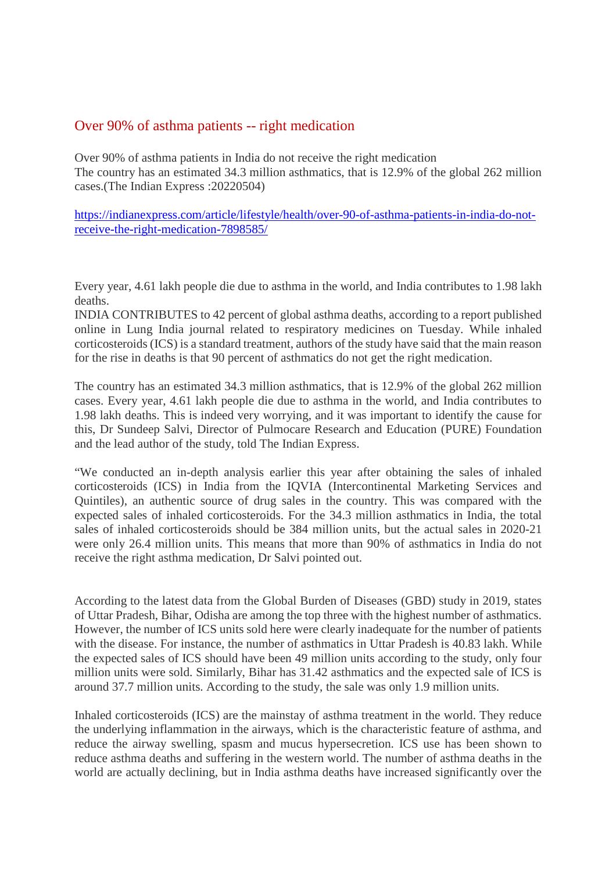#### Over 90% of asthma patients -- right medication

Over 90% of asthma patients in India do not receive the right medication The country has an estimated 34.3 million asthmatics, that is 12.9% of the global 262 million cases.(The Indian Express :20220504)

https://indianexpress.com/article/lifestyle/health/over-90-of-asthma-patients-in-india-do-notreceive-the-right-medication-7898585/

Every year, 4.61 lakh people die due to asthma in the world, and India contributes to 1.98 lakh deaths.

INDIA CONTRIBUTES to 42 percent of global asthma deaths, according to a report published online in Lung India journal related to respiratory medicines on Tuesday. While inhaled corticosteroids (ICS) is a standard treatment, authors of the study have said that the main reason for the rise in deaths is that 90 percent of asthmatics do not get the right medication.

The country has an estimated 34.3 million asthmatics, that is 12.9% of the global 262 million cases. Every year, 4.61 lakh people die due to asthma in the world, and India contributes to 1.98 lakh deaths. This is indeed very worrying, and it was important to identify the cause for this, Dr Sundeep Salvi, Director of Pulmocare Research and Education (PURE) Foundation and the lead author of the study, told The Indian Express.

"We conducted an in-depth analysis earlier this year after obtaining the sales of inhaled corticosteroids (ICS) in India from the IQVIA (Intercontinental Marketing Services and Quintiles), an authentic source of drug sales in the country. This was compared with the expected sales of inhaled corticosteroids. For the 34.3 million asthmatics in India, the total sales of inhaled corticosteroids should be 384 million units, but the actual sales in 2020-21 were only 26.4 million units. This means that more than 90% of asthmatics in India do not receive the right asthma medication, Dr Salvi pointed out.

According to the latest data from the Global Burden of Diseases (GBD) study in 2019, states of Uttar Pradesh, Bihar, Odisha are among the top three with the highest number of asthmatics. However, the number of ICS units sold here were clearly inadequate for the number of patients with the disease. For instance, the number of asthmatics in Uttar Pradesh is 40.83 lakh. While the expected sales of ICS should have been 49 million units according to the study, only four million units were sold. Similarly, Bihar has 31.42 asthmatics and the expected sale of ICS is around 37.7 million units. According to the study, the sale was only 1.9 million units.

Inhaled corticosteroids (ICS) are the mainstay of asthma treatment in the world. They reduce the underlying inflammation in the airways, which is the characteristic feature of asthma, and reduce the airway swelling, spasm and mucus hypersecretion. ICS use has been shown to reduce asthma deaths and suffering in the western world. The number of asthma deaths in the world are actually declining, but in India asthma deaths have increased significantly over the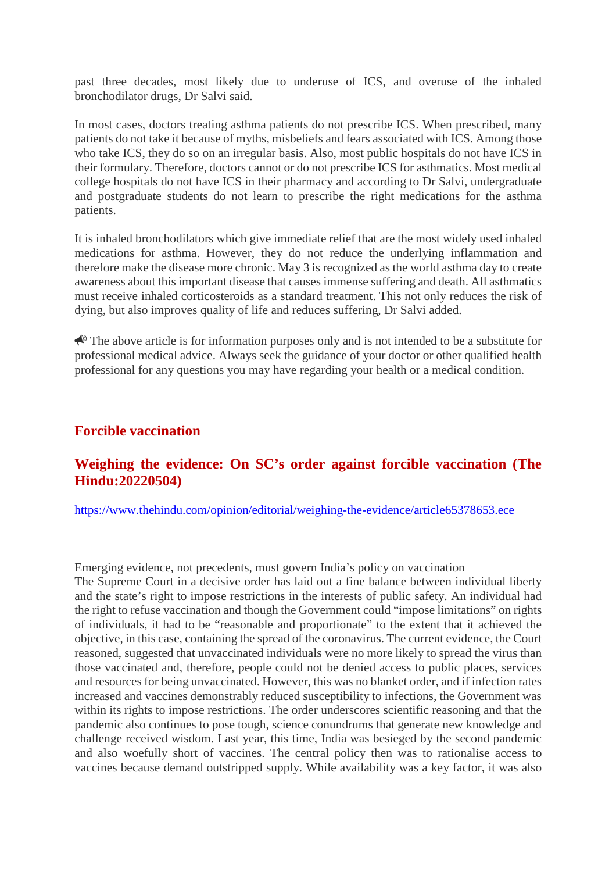past three decades, most likely due to underuse of ICS, and overuse of the inhaled bronchodilator drugs, Dr Salvi said.

In most cases, doctors treating asthma patients do not prescribe ICS. When prescribed, many patients do not take it because of myths, misbeliefs and fears associated with ICS. Among those who take ICS, they do so on an irregular basis. Also, most public hospitals do not have ICS in their formulary. Therefore, doctors cannot or do not prescribe ICS for asthmatics. Most medical college hospitals do not have ICS in their pharmacy and according to Dr Salvi, undergraduate and postgraduate students do not learn to prescribe the right medications for the asthma patients.

It is inhaled bronchodilators which give immediate relief that are the most widely used inhaled medications for asthma. However, they do not reduce the underlying inflammation and therefore make the disease more chronic. May 3 is recognized as the world asthma day to create awareness about this important disease that causes immense suffering and death. All asthmatics must receive inhaled corticosteroids as a standard treatment. This not only reduces the risk of dying, but also improves quality of life and reduces suffering, Dr Salvi added.

 $\bigotimes$  The above article is for information purposes only and is not intended to be a substitute for professional medical advice. Always seek the guidance of your doctor or other qualified health professional for any questions you may have regarding your health or a medical condition.

#### **Forcible vaccination**

#### **Weighing the evidence: On SC's order against forcible vaccination (The Hindu:20220504)**

https://www.thehindu.com/opinion/editorial/weighing-the-evidence/article65378653.ece

Emerging evidence, not precedents, must govern India's policy on vaccination

The Supreme Court in a decisive order has laid out a fine balance between individual liberty and the state's right to impose restrictions in the interests of public safety. An individual had the right to refuse vaccination and though the Government could "impose limitations" on rights of individuals, it had to be "reasonable and proportionate" to the extent that it achieved the objective, in this case, containing the spread of the coronavirus. The current evidence, the Court reasoned, suggested that unvaccinated individuals were no more likely to spread the virus than those vaccinated and, therefore, people could not be denied access to public places, services and resources for being unvaccinated. However, this was no blanket order, and if infection rates increased and vaccines demonstrably reduced susceptibility to infections, the Government was within its rights to impose restrictions. The order underscores scientific reasoning and that the pandemic also continues to pose tough, science conundrums that generate new knowledge and challenge received wisdom. Last year, this time, India was besieged by the second pandemic and also woefully short of vaccines. The central policy then was to rationalise access to vaccines because demand outstripped supply. While availability was a key factor, it was also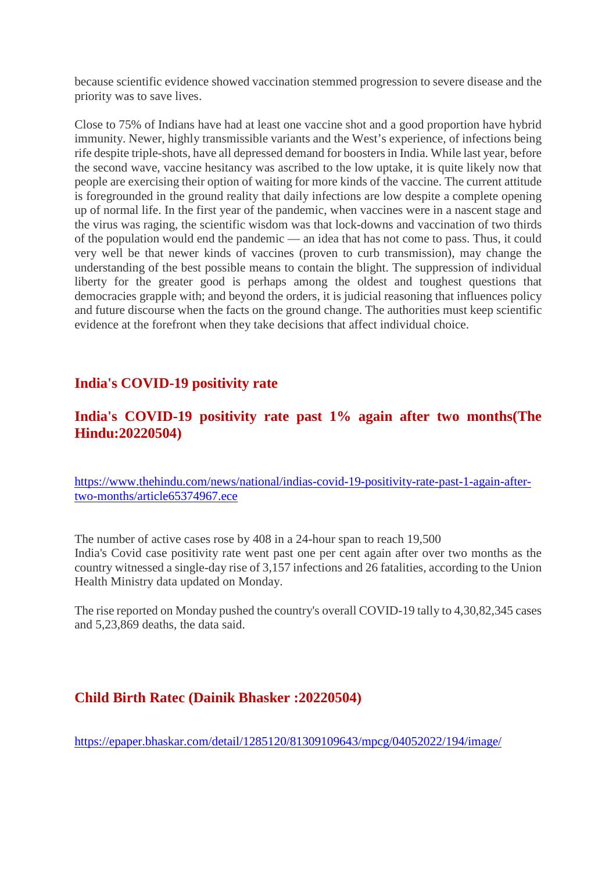because scientific evidence showed vaccination stemmed progression to severe disease and the priority was to save lives.

Close to 75% of Indians have had at least one vaccine shot and a good proportion have hybrid immunity. Newer, highly transmissible variants and the West's experience, of infections being rife despite triple-shots, have all depressed demand for boosters in India. While last year, before the second wave, vaccine hesitancy was ascribed to the low uptake, it is quite likely now that people are exercising their option of waiting for more kinds of the vaccine. The current attitude is foregrounded in the ground reality that daily infections are low despite a complete opening up of normal life. In the first year of the pandemic, when vaccines were in a nascent stage and the virus was raging, the scientific wisdom was that lock-downs and vaccination of two thirds of the population would end the pandemic — an idea that has not come to pass. Thus, it could very well be that newer kinds of vaccines (proven to curb transmission), may change the understanding of the best possible means to contain the blight. The suppression of individual liberty for the greater good is perhaps among the oldest and toughest questions that democracies grapple with; and beyond the orders, it is judicial reasoning that influences policy and future discourse when the facts on the ground change. The authorities must keep scientific evidence at the forefront when they take decisions that affect individual choice.

# **India's COVID-19 positivity rate**

# **India's COVID-19 positivity rate past 1% again after two months(The Hindu:20220504)**

https://www.thehindu.com/news/national/indias-covid-19-positivity-rate-past-1-again-aftertwo-months/article65374967.ece

The number of active cases rose by 408 in a 24-hour span to reach 19,500 India's Covid case positivity rate went past one per cent again after over two months as the country witnessed a single-day rise of 3,157 infections and 26 fatalities, according to the Union Health Ministry data updated on Monday.

The rise reported on Monday pushed the country's overall COVID-19 tally to 4,30,82,345 cases and 5,23,869 deaths, the data said.

# **Child Birth Ratec (Dainik Bhasker :20220504)**

https://epaper.bhaskar.com/detail/1285120/81309109643/mpcg/04052022/194/image/